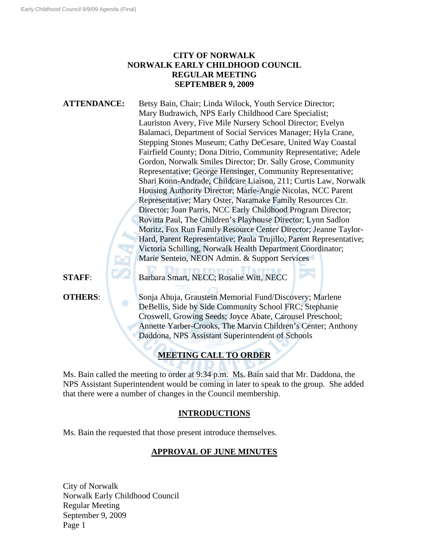## **CITY OF NORWALK NORWALK EARLY CHILDHOOD COUNCIL REGULAR MEETING SEPTEMBER 9, 2009**

ATTENDANCE: Betsy Bain, Chair; Linda Wilock, Youth Service Director; Mary Budrawich, NPS Early Childhood Care Specialist; Lauriston Avery, Five Mile Nursery School Director; Evelyn Balamaci, Department of Social Services Manager; Hyla Crane, Stepping Stones Museum; Cathy DeCesare, United Way Coastal Fairfield County; Dona Ditrio, Community Representative; Adele Gordon, Norwalk Smiles Director; Dr. Sally Grose, Community Representative; George Hensinger, Community Representative; Shari Konn-Andrade, Childcare Liaison, 211; Curtis Law, Norwalk Housing Authority Director; Marie-Angie Nicolas, NCC Parent Representative; Mary Oster, Naramake Family Resources Ctr. Director; Joan Parris, NCC Early Childhood Program Director; Rovitta Paul, The Children's Playhouse Director; Lynn Sadlon Moritz, Fox Run Family Resource Center Director; Jeanne Taylor-Hard, Parent Representative; Paula Trujillo, Parent Representative; Victoria Schilling, Norwalk Health Department Coordinator; Marie Senteio, NEON Admin. & Support Services

**STAFF**: Barbara Smart, NECC; Rosalie Witt, NECC

**OTHERS:** Sonja Ahuja, Graustein Memorial Fund/Discovery; Marlene DeBellis, Side by Side Community School FRC; Stephanie Croswell, Growing Seeds; Joyce Abate, Carousel Preschool; Annette Yarber-Crooks, The Marvin Children's Center; Anthony Daddona, NPS Assistant Superintendent of Schools

# **MEETING CALL TO ORDER**

Ms. Bain called the meeting to order at 9:34 p.m. Ms. Bain said that Mr. Daddona, the NPS Assistant Superintendent would be coming in later to speak to the group. She added that there were a number of changes in the Council membership.

## **INTRODUCTIONS**

Ms. Bain the requested that those present introduce themselves.

## **APPROVAL OF JUNE MINUTES**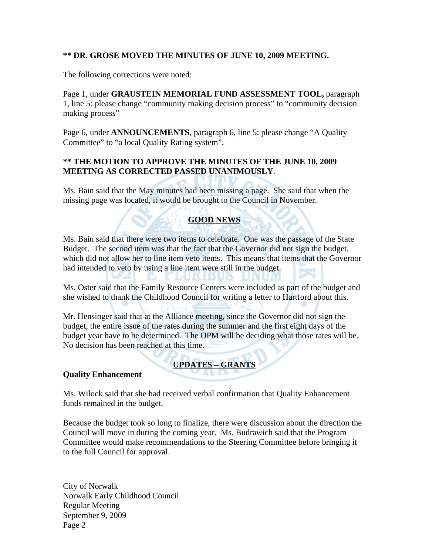## **\*\* DR. GROSE MOVED THE MINUTES OF JUNE 10, 2009 MEETING.**

The following corrections were noted:

Page 1, under **GRAUSTEIN MEMORIAL FUND ASSESSMENT TOOL,** paragraph 1, line 5: please change "community making decision process" to "community decision making process"

Page 6, under **ANNOUNCEMENTS**, paragraph 6, line 5: please change "A Quality Committee" to "a local Quality Rating system".

### **\*\* THE MOTION TO APPROVE THE MINUTES OF THE JUNE 10, 2009 MEETING AS CORRECTED PASSED UNANIMOUSLY**.

Ms. Bain said that the May minutes had been missing a page. She said that when the missing page was located, it would be brought to the Council in November.

## **GOOD NEWS**

Ms. Bain said that there were two items to celebrate. One was the passage of the State Budget. The second item was that the fact that the Governor did not sign the budget, which did not allow her to line item veto items. This means that items that the Governor had intended to veto by using a line item were still in the budget.

Ms. Oster said that the Family Resource Centers were included as part of the budget and she wished to thank the Childhood Council for writing a letter to Hartford about this.

Mr. Hensinger said that at the Alliance meeting, since the Governor did not sign the budget, the entire issue of the rates during the summer and the first eight days of the budget year have to be determined. The OPM will be deciding what those rates will be. No decision has been reached at this time.

# **UPDATES – GRANTS**

#### **Quality Enhancement**

Ms. Wilock said that she had received verbal confirmation that Quality Enhancement funds remained in the budget.

Because the budget took so long to finalize, there were discussion about the direction the Council will move in during the coming year. Ms. Budrawich said that the Program Committee would make recommendations to the Steering Committee before bringing it to the full Council for approval.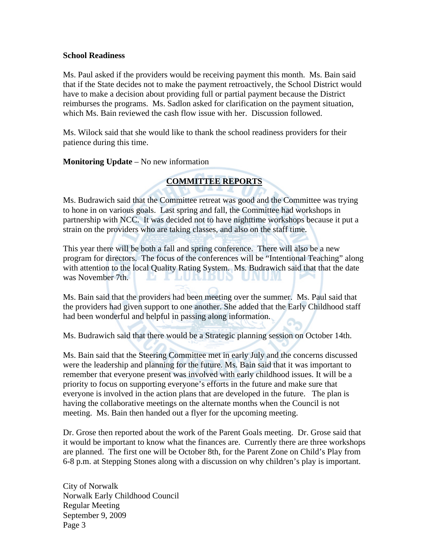#### **School Readiness**

Ms. Paul asked if the providers would be receiving payment this month. Ms. Bain said that if the State decides not to make the payment retroactively, the School District would have to make a decision about providing full or partial payment because the District reimburses the programs. Ms. Sadlon asked for clarification on the payment situation, which Ms. Bain reviewed the cash flow issue with her. Discussion followed.

Ms. Wilock said that she would like to thank the school readiness providers for their patience during this time.

**Monitoring Update** – No new information

## **COMMITTEE REPORTS**

Ms. Budrawich said that the Committee retreat was good and the Committee was trying to hone in on various goals. Last spring and fall, the Committee had workshops in partnership with NCC. It was decided not to have nighttime workshops because it put a strain on the providers who are taking classes, and also on the staff time.

This year there will be both a fall and spring conference. There will also be a new program for directors. The focus of the conferences will be "Intentional Teaching" along with attention to the local Quality Rating System. Ms. Budrawich said that that the date was November 7th. 19. E THURLDUN

Ms. Bain said that the providers had been meeting over the summer. Ms. Paul said that the providers had given support to one another. She added that the Early Childhood staff had been wonderful and helpful in passing along information.

Ms. Budrawich said that there would be a Strategic planning session on October 14th.

Ms. Bain said that the Steering Committee met in early July and the concerns discussed were the leadership and planning for the future. Ms. Bain said that it was important to remember that everyone present was involved with early childhood issues. It will be a priority to focus on supporting everyone's efforts in the future and make sure that everyone is involved in the action plans that are developed in the future. The plan is having the collaborative meetings on the alternate months when the Council is not meeting. Ms. Bain then handed out a flyer for the upcoming meeting.

Dr. Grose then reported about the work of the Parent Goals meeting. Dr. Grose said that it would be important to know what the finances are. Currently there are three workshops are planned. The first one will be October 8th, for the Parent Zone on Child's Play from 6-8 p.m. at Stepping Stones along with a discussion on why children's play is important.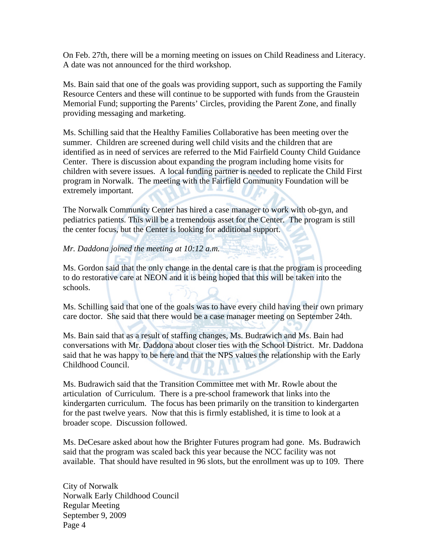On Feb. 27th, there will be a morning meeting on issues on Child Readiness and Literacy. A date was not announced for the third workshop.

Ms. Bain said that one of the goals was providing support, such as supporting the Family Resource Centers and these will continue to be supported with funds from the Graustein Memorial Fund; supporting the Parents' Circles, providing the Parent Zone, and finally providing messaging and marketing.

Ms. Schilling said that the Healthy Families Collaborative has been meeting over the summer. Children are screened during well child visits and the children that are identified as in need of services are referred to the Mid Fairfield County Child Guidance Center. There is discussion about expanding the program including home visits for children with severe issues. A local funding partner is needed to replicate the Child First program in Norwalk. The meeting with the Fairfield Community Foundation will be extremely important.

The Norwalk Community Center has hired a case manager to work with ob-gyn, and pediatrics patients. This will be a tremendous asset for the Center. The program is still the center focus, but the Center is looking for additional support.

#### *Mr. Daddona joined the meeting at 10:12 a.m.*

Ms. Gordon said that the only change in the dental care is that the program is proceeding to do restorative care at NEON and it is being hoped that this will be taken into the schools.

Ms. Schilling said that one of the goals was to have every child having their own primary care doctor. She said that there would be a case manager meeting on September 24th.

Ms. Bain said that as a result of staffing changes, Ms. Budrawich and Ms. Bain had conversations with Mr. Daddona about closer ties with the School District. Mr. Daddona said that he was happy to be here and that the NPS values the relationship with the Early Childhood Council.

Ms. Budrawich said that the Transition Committee met with Mr. Rowle about the articulation of Curriculum. There is a pre-school framework that links into the kindergarten curriculum. The focus has been primarily on the transition to kindergarten for the past twelve years. Now that this is firmly established, it is time to look at a broader scope. Discussion followed.

Ms. DeCesare asked about how the Brighter Futures program had gone. Ms. Budrawich said that the program was scaled back this year because the NCC facility was not available. That should have resulted in 96 slots, but the enrollment was up to 109. There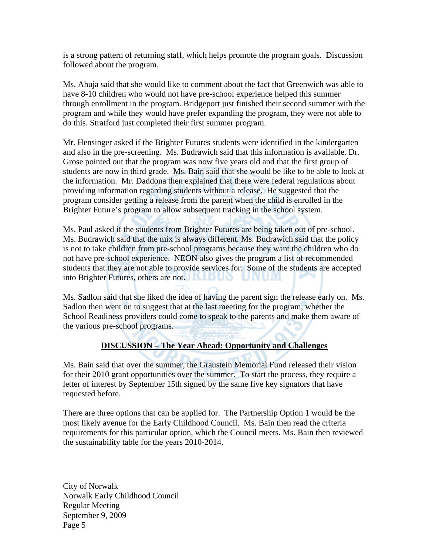is a strong pattern of returning staff, which helps promote the program goals. Discussion followed about the program.

Ms. Ahuja said that she would like to comment about the fact that Greenwich was able to have 8-10 children who would not have pre-school experience helped this summer through enrollment in the program. Bridgeport just finished their second summer with the program and while they would have prefer expanding the program, they were not able to do this. Stratford just completed their first summer program.

Mr. Hensinger asked if the Brighter Futures students were identified in the kindergarten and also in the pre-screening. Ms. Budrawich said that this information is available. Dr. Grose pointed out that the program was now five years old and that the first group of students are now in third grade. Ms. Bain said that she would be like to be able to look at the information. Mr. Daddona then explained that there were federal regulations about providing information regarding students without a release. He suggested that the program consider getting a release from the parent when the child is enrolled in the Brighter Future's program to allow subsequent tracking in the school system.

Ms. Paul asked if the students from Brighter Futures are being taken out of pre-school. Ms. Budrawich said that the mix is always different. Ms. Budrawich said that the policy is not to take children from pre-school programs because they want the children who do not have pre-school experience. NEON also gives the program a list of recommended students that they are not able to provide services for. Some of the students are accepted into Brighter Futures, others are not.

Ms. Sadlon said that she liked the idea of having the parent sign the release early on. Ms. Sadlon then went on to suggest that at the last meeting for the program, whether the School Readiness providers could come to speak to the parents and make them aware of the various pre-school programs.

## **DISCUSSION – The Year Ahead: Opportunity and Challenges**

Ms. Bain said that over the summer, the Graustein Memorial Fund released their vision for their 2010 grant opportunities over the summer. To start the process, they require a letter of interest by September 15th signed by the same five key signators that have requested before.

There are three options that can be applied for. The Partnership Option 1 would be the most likely avenue for the Early Childhood Council. Ms. Bain then read the criteria requirements for this particular option, which the Council meets. Ms. Bain then reviewed the sustainability table for the years 2010-2014.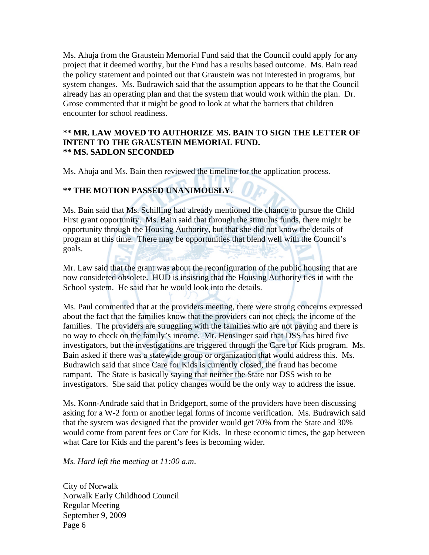Ms. Ahuja from the Graustein Memorial Fund said that the Council could apply for any project that it deemed worthy, but the Fund has a results based outcome. Ms. Bain read the policy statement and pointed out that Graustein was not interested in programs, but system changes. Ms. Budrawich said that the assumption appears to be that the Council already has an operating plan and that the system that would work within the plan. Dr. Grose commented that it might be good to look at what the barriers that children encounter for school readiness.

#### **\*\* MR. LAW MOVED TO AUTHORIZE MS. BAIN TO SIGN THE LETTER OF INTENT TO THE GRAUSTEIN MEMORIAL FUND. \*\* MS. SADLON SECONDED**

Ms. Ahuja and Ms. Bain then reviewed the timeline for the application process.

## **\*\* THE MOTION PASSED UNANIMOUSLY**.

Ms. Bain said that Ms. Schilling had already mentioned the chance to pursue the Child First grant opportunity. Ms. Bain said that through the stimulus funds, there might be opportunity through the Housing Authority, but that she did not know the details of program at this time. There may be opportunities that blend well with the Council's goals.

Mr. Law said that the grant was about the reconfiguration of the public housing that are now considered obsolete. HUD is insisting that the Housing Authority ties in with the School system. He said that he would look into the details.

Ms. Paul commented that at the providers meeting, there were strong concerns expressed about the fact that the families know that the providers can not check the income of the families. The providers are struggling with the families who are not paying and there is no way to check on the family's income. Mr. Hensinger said that DSS has hired five investigators, but the investigations are triggered through the Care for Kids program. Ms. Bain asked if there was a statewide group or organization that would address this. Ms. Budrawich said that since Care for Kids is currently closed, the fraud has become rampant. The State is basically saying that neither the State nor DSS wish to be investigators. She said that policy changes would be the only way to address the issue.

Ms. Konn-Andrade said that in Bridgeport, some of the providers have been discussing asking for a W-2 form or another legal forms of income verification. Ms. Budrawich said that the system was designed that the provider would get 70% from the State and 30% would come from parent fees or Care for Kids. In these economic times, the gap between what Care for Kids and the parent's fees is becoming wider.

*Ms. Hard left the meeting at 11:00 a.m*.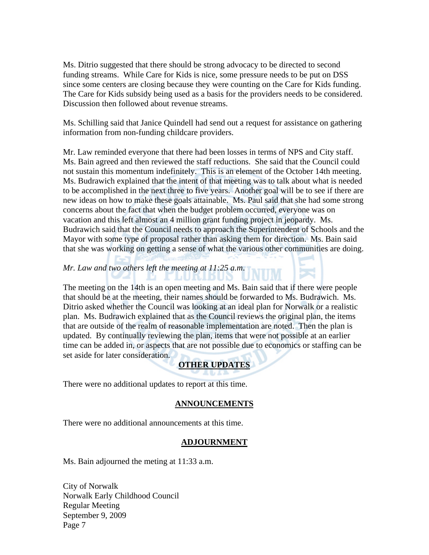Ms. Ditrio suggested that there should be strong advocacy to be directed to second funding streams. While Care for Kids is nice, some pressure needs to be put on DSS since some centers are closing because they were counting on the Care for Kids funding. The Care for Kids subsidy being used as a basis for the providers needs to be considered. Discussion then followed about revenue streams.

Ms. Schilling said that Janice Quindell had send out a request for assistance on gathering information from non-funding childcare providers.

Mr. Law reminded everyone that there had been losses in terms of NPS and City staff. Ms. Bain agreed and then reviewed the staff reductions. She said that the Council could not sustain this momentum indefinitely. This is an element of the October 14th meeting. Ms. Budrawich explained that the intent of that meeting was to talk about what is needed to be accomplished in the next three to five years. Another goal will be to see if there are new ideas on how to make these goals attainable. Ms. Paul said that she had some strong concerns about the fact that when the budget problem occurred, everyone was on vacation and this left almost an 4 million grant funding project in jeopardy. Ms. Budrawich said that the Council needs to approach the Superintendent of Schools and the Mayor with some type of proposal rather than asking them for direction. Ms. Bain said that she was working on getting a sense of what the various other communities are doing.

#### *Mr. Law and two others left the meeting at 11:25 a.m*.

The meeting on the 14th is an open meeting and Ms. Bain said that if there were people that should be at the meeting, their names should be forwarded to Ms. Budrawich. Ms. Ditrio asked whether the Council was looking at an ideal plan for Norwalk or a realistic plan. Ms. Budrawich explained that as the Council reviews the original plan, the items that are outside of the realm of reasonable implementation are noted. Then the plan is updated. By continually reviewing the plan, items that were not possible at an earlier time can be added in, or aspects that are not possible due to economics or staffing can be set aside for later consideration.

## **OTHER UPDATES**

There were no additional updates to report at this time.

#### **ANNOUNCEMENTS**

There were no additional announcements at this time.

#### **ADJOURNMENT**

Ms. Bain adjourned the meting at 11:33 a.m.